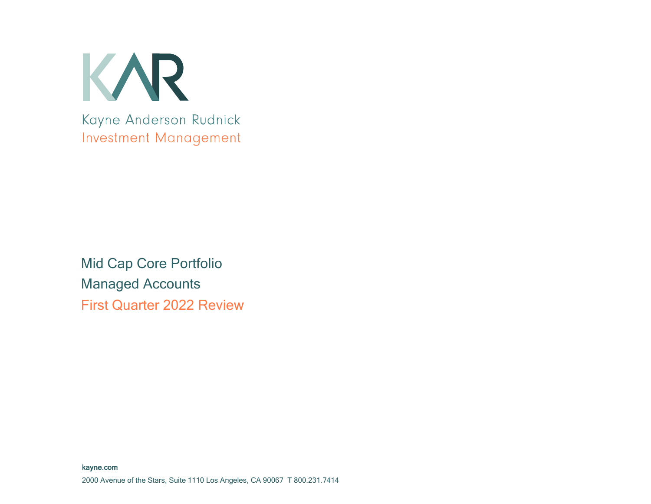

Mid Cap Core Portfolio Managed Accounts First Quarter 2022 Review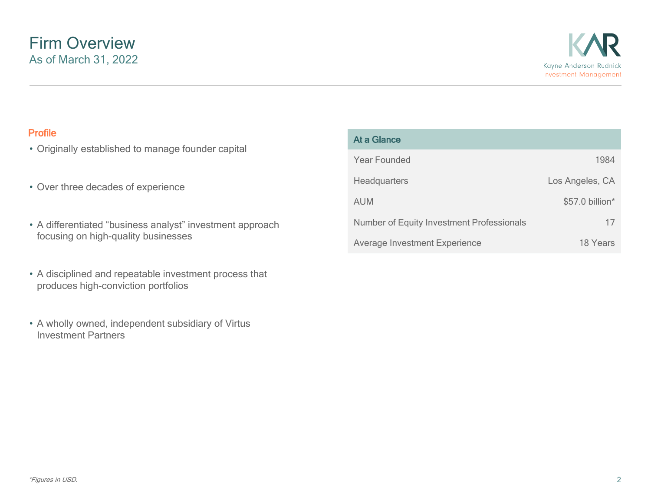- Originally established to manage founder capital
- Over three decades of experience
- A differentiated "business analyst" investment approach focusing on high-quality businesses
- A disciplined and repeatable investment process that produces high-conviction portfolios
- A wholly owned, independent subsidiary of Virtus Investment Partners

| <b>Profile</b><br>• Originally established to manage founder capital | At a Glance                               |                 |
|----------------------------------------------------------------------|-------------------------------------------|-----------------|
|                                                                      | Year Founded                              | 1984            |
| • Over three decades of experience                                   | <b>Headquarters</b>                       | Los Angeles, CA |
|                                                                      | <b>AUM</b>                                | \$57.0 billion* |
| • A differentiated "business analyst" investment approach            | Number of Equity Investment Professionals |                 |
| focusing on high-quality businesses                                  | <b>Average Investment Experience</b>      | 18 Years        |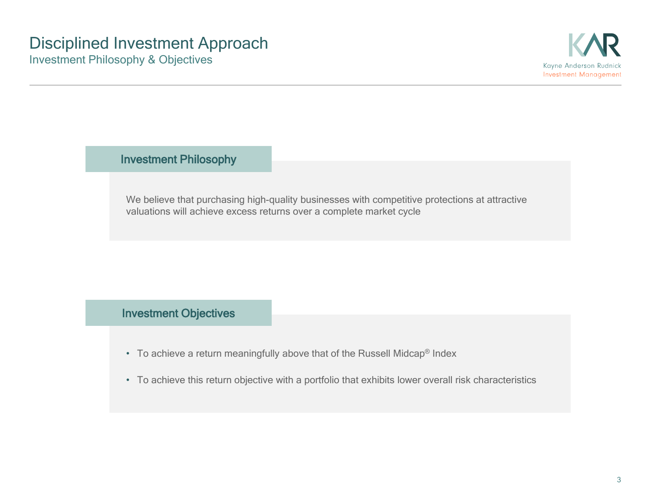Investment Philosophy

We believe that purchasing high-quality businesses with competitive protections at attractive valuations will achieve excess returns over a complete market cycle

### Investment Objectives

- To achieve a return meaningfully above that of the Russell Midcap® Index
- To achieve this return objective with a portfolio that exhibits lower overall risk characteristics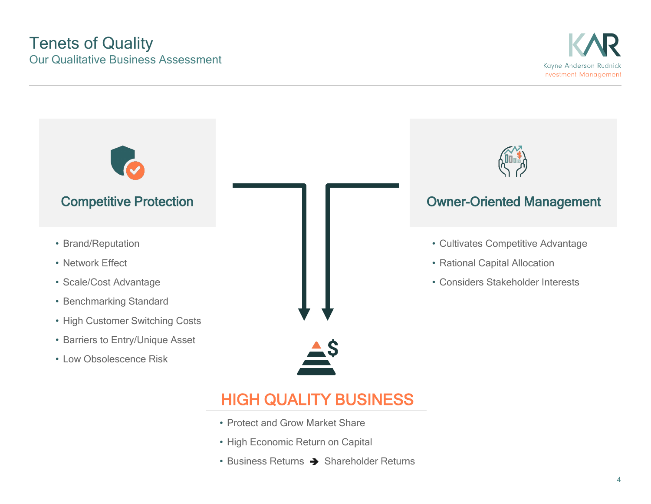## Tenets of Quality Our Qualitative Business Assessment





- Protect and Grow Market Share
- High Economic Return on Capital
- Business Returns  $\rightarrow$  Shareholder Returns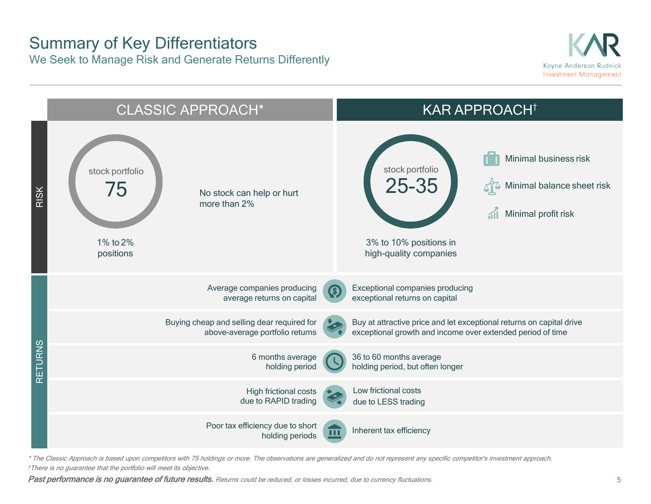### Summary of Key Differentiators We Seek to Manage Risk and Generate Returns Differently





\* The Classic Approach is based upon competitors with 75 holdings or more. The observations are generalized and do not represent any specific competitor's investment approach. †There is no guarantee that the portfolio will meet its objective.

Past performance is no guarantee of future results. Returns could be reduced, or losses incurred, due to currency fluctuations.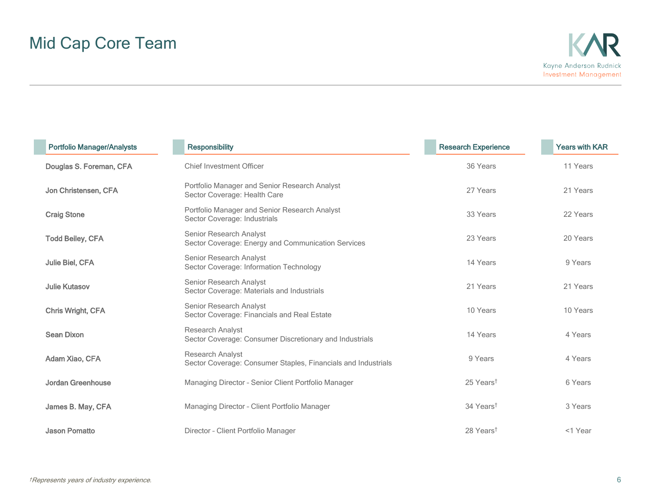| <b>Portfolio Manager/Analysts</b> | <b>Responsibility</b>                                                             | <b>Research Experience</b> | <b>Years with KAR</b> |
|-----------------------------------|-----------------------------------------------------------------------------------|----------------------------|-----------------------|
| Douglas S. Foreman, CFA           | <b>Chief Investment Officer</b>                                                   | 36 Years                   | 11 Years              |
| Jon Christensen, CFA              | Portfolio Manager and Senior Research Analyst<br>Sector Coverage: Health Care     | 27 Years                   | 21 Years              |
| <b>Craig Stone</b>                | Portfolio Manager and Senior Research Analyst<br>Sector Coverage: Industrials     | 33 Years                   | 22 Years              |
| <b>Todd Beiley, CFA</b>           | Senior Research Analyst<br>Sector Coverage: Energy and Communication Services     | 23 Years                   | 20 Years              |
| Julie Biel, CFA                   | Senior Research Analyst<br>Sector Coverage: Information Technology                | 14 Years                   | 9 Years               |
| <b>Julie Kutasov</b>              | Senior Research Analyst<br>Sector Coverage: Materials and Industrials             | 21 Years                   | 21 Years              |
| Chris Wright, CFA                 | Senior Research Analyst<br>Sector Coverage: Financials and Real Estate            | 10 Years                   | 10 Years              |
| Sean Dixon                        | Research Analyst<br>Sector Coverage: Consumer Discretionary and Industrials       | 14 Years                   | 4 Years               |
| Adam Xiao, CFA                    | Research Analyst<br>Sector Coverage: Consumer Staples, Financials and Industrials | 9 Years                    | 4 Years               |
| Jordan Greenhouse                 | Managing Director - Senior Client Portfolio Manager                               | 25 Years <sup>t</sup>      | 6 Years               |
| James B. May, CFA                 | Managing Director - Client Portfolio Manager                                      | 34 Years <sup>t</sup>      | 3 Years               |
| <b>Jason Pomatto</b>              | Director - Client Portfolio Manager                                               | 28 Years <sup>t</sup>      | <1 Year               |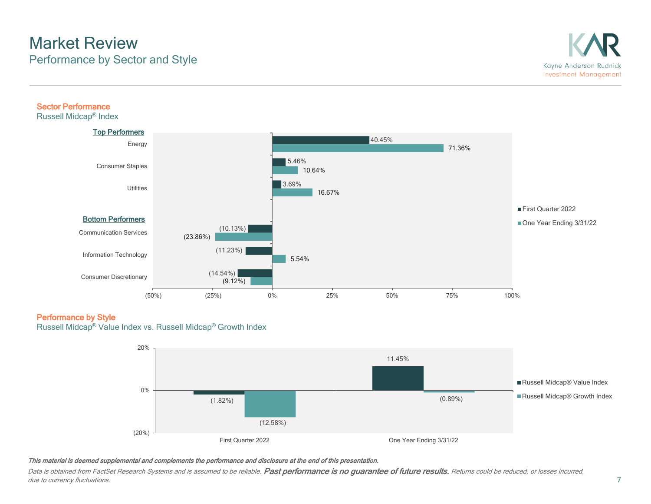## Market Review Performance by Sector and Style

### Sector Performance

Russell Midcap® Index



### Performance by Style

Russell Midcap® Value Index vs. Russell Midcap® Growth Index



### This material is deemed supplemental and complements the performance and disclosure at the end of this presentation.

Data is obtained from FactSet Research Systems and is assumed to be reliable. Past performance is no guarantee of future results. Returns could be reduced, or losses incurred, due to currency fluctuations.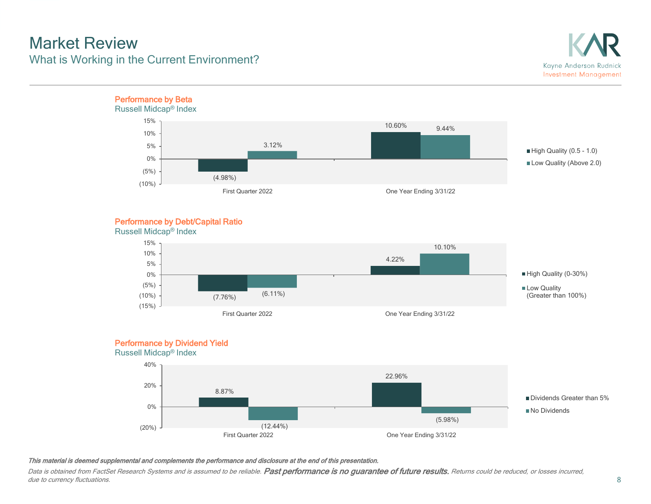## Market Review What is Working in the Current Environment?



### Performance by Debt/Capital Ratio



### Performance by Dividend Yield





### This material is deemed supplemental and complements the performance and disclosure at the end of this presentation.

Data is obtained from FactSet Research Systems and is assumed to be reliable. Past performance is no guarantee of future results. Returns could be reduced, or losses incurred, due to currency fluctuations.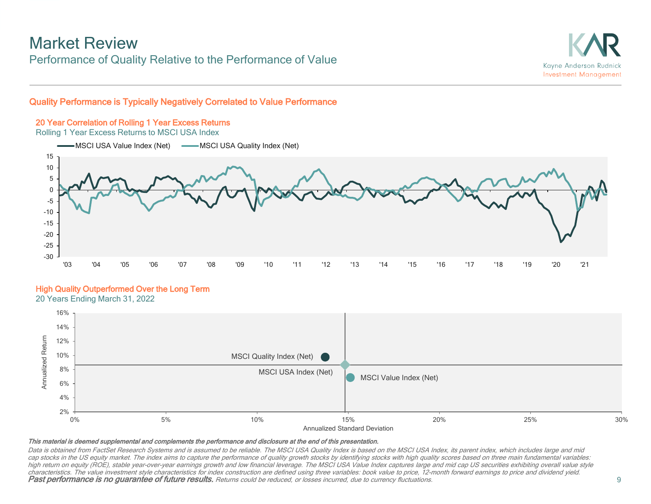### Market Review Performance of Quality Relative to the Performance of Value



### Quality Performance is Typically Negatively Correlated to Value Performance

### 20 Year Correlation of Rolling 1 Year Excess Returns

Rolling 1 Year Excess Returns to MSCI USA Index



### High Quality Outperformed Over the Long Term

20 Years Ending March 31, 2022



#### This material is deemed supplemental and complements the performance and disclosure at the end of this presentation.

Data is obtained from FactSet Research Systems and is assumed to be reliable. The MSCI USA Quality Index is based on the MSCI USA Index, its parent index, which includes large and mid cap stocks in the US equity market. The index aims to capture the performance of quality growth stocks by identifying stocks with high quality scores based on three main fundamental variables: high return on equity (ROE), stable year-over-year earnings growth and low financial leverage. The MSCI USA Value Index captures large and mid cap US securities exhibiting overall value style characteristics. The value investment style characteristics for index construction are defined using three variables: book value to price, 12-month forward earnings to price and dividend yield. Past performance is no guarantee of future results. Returns could be reduced, or losses incurred, due to currency fluctuations.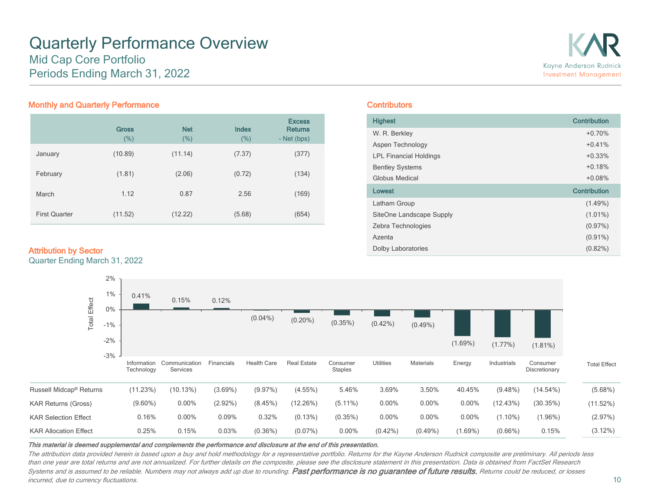### Quarterly Performance Overview Mid Cap Core Portfolio Periods Ending March 31, 2022



### Monthly and Quarterly Performance

|                      | <b>Gross</b><br>(%) | <b>Net</b><br>(%) | Index<br>(% ) | <b>Excess</b><br><b>Returns</b><br>- Net (bps) |
|----------------------|---------------------|-------------------|---------------|------------------------------------------------|
| January              | (10.89)             | (11.14)           | (7.37)        | (377)                                          |
| February             | (1.81)              | (2.06)            | (0.72)        | (134)                                          |
| March                | 1.12                | 0.87              | 2.56          | (169)                                          |
| <b>First Quarter</b> | (11.52)             | (12.22)           | (5.68)        | (654)                                          |

### Attribution by Sector

Quarter Ending March 31, 2022

### **Contributors**

| <b>Highest</b>                | Contribution |
|-------------------------------|--------------|
| W. R. Berkley                 | $+0.70%$     |
| Aspen Technology              | $+0.41%$     |
| <b>LPL Financial Holdings</b> | $+0.33%$     |
| <b>Bentley Systems</b>        | $+0.18%$     |
| Globus Medical                | $+0.08%$     |
| Lowest                        | Contribution |
| Latham Group                  | $(1.49\%)$   |
| SiteOne Landscape Supply      | $(1.01\%)$   |
| Zebra Technologies            | $(0.97\%)$   |
| Azenta                        | $(0.91\%)$   |
| <b>Dolby Laboratories</b>     | $(0.82\%)$   |



#### This material is deemed supplemental and complements the performance and disclosure at the end of this presentation.

The attribution data provided herein is based upon a buy and hold methodology for a representative portfolio. Returns for the Kayne Anderson Rudnick composite are preliminary. All periods less than one year are total returns and are not annualized. For further details on the composite, please see the disclosure statement in this presentation. Data is obtained from FactSet Research Systems and is assumed to be reliable. Numbers may not always add up due to rounding. Past performance is no guarantee of future results, Returns could be reduced, or losses incurred, due to currency fluctuations.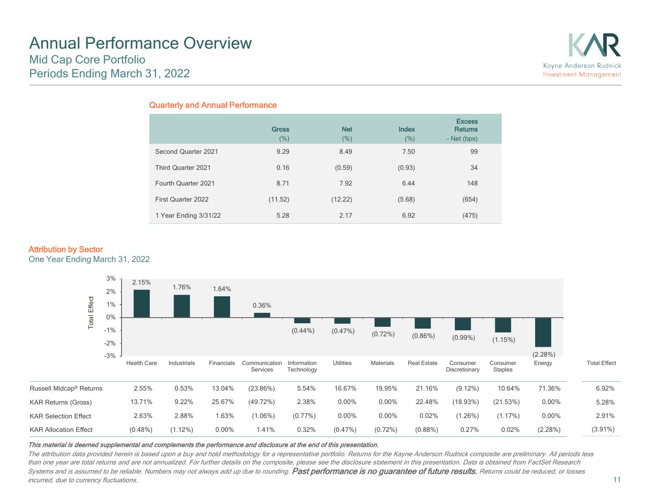## Annual Performance Overview Mid Cap Core Portfolio Periods Ending March 31, 2022



### Quarterly and Annual Performance

|                       | <b>Gross</b><br>(%) | <b>Net</b><br>(%) | <b>Index</b><br>(%) | <b>Excess</b><br><b>Returns</b><br>- Net (bps) |
|-----------------------|---------------------|-------------------|---------------------|------------------------------------------------|
| Second Quarter 2021   | 9.29                | 8.49              | 7.50                | 99                                             |
| Third Quarter 2021    | 0.16                | (0.59)            | (0.93)              | 34                                             |
| Fourth Quarter 2021   | 8.71                | 7.92              | 6.44                | 148                                            |
| First Quarter 2022    | (11.52)             | (12.22)           | (5.68)              | (654)                                          |
| 1 Year Ending 3/31/22 | 5.28                | 2.17              | 6.92                | (475)                                          |

### Attribution by Sector

One Year Ending March 31, 2022



#### This material is deemed supplemental and complements the performance and disclosure at the end of this presentation.

The attribution data provided herein is based upon a buy and hold methodology for a representative portfolio. Returns for the Kayne Anderson Rudnick composite are preliminary. All periods less than one year are total returns and are not annualized. For further details on the composite, please see the disclosure statement in this presentation. Data is obtained from FactSet Research Systems and is assumed to be reliable. Numbers may not always add up due to rounding. Past performance is no guarantee of future results, Returns could be reduced, or losses incurred, due to currency fluctuations.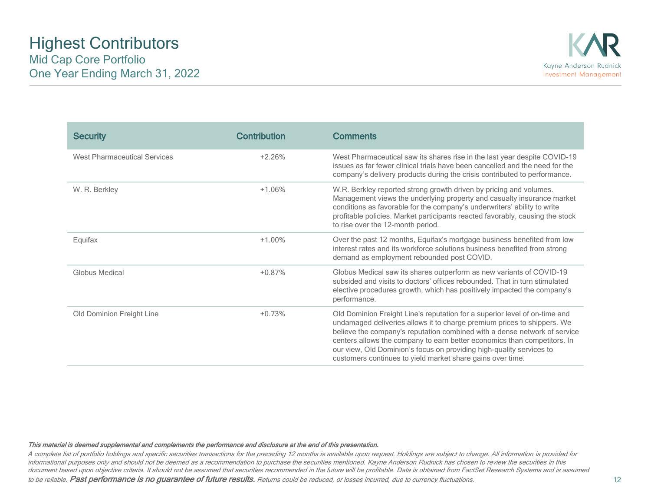| <b>Security</b>                     | <b>Contribution</b> | <b>Comments</b>                                                                                                                                                                                                                                                                                                                                                                                                                                      |
|-------------------------------------|---------------------|------------------------------------------------------------------------------------------------------------------------------------------------------------------------------------------------------------------------------------------------------------------------------------------------------------------------------------------------------------------------------------------------------------------------------------------------------|
| <b>West Pharmaceutical Services</b> | $+2.26%$            | West Pharmaceutical saw its shares rise in the last year despite COVID-19<br>issues as far fewer clinical trials have been cancelled and the need for the<br>company's delivery products during the crisis contributed to performance.                                                                                                                                                                                                               |
| W. R. Berkley                       | $+1.06%$            | W.R. Berkley reported strong growth driven by pricing and volumes.<br>Management views the underlying property and casualty insurance market<br>conditions as favorable for the company's underwriters' ability to write<br>profitable policies. Market participants reacted favorably, causing the stock<br>to rise over the 12-month period.                                                                                                       |
| Equifax                             | $+1.00\%$           | Over the past 12 months, Equifax's mortgage business benefited from low<br>interest rates and its workforce solutions business benefited from strong<br>demand as employment rebounded post COVID.                                                                                                                                                                                                                                                   |
| Globus Medical                      | $+0.87%$            | Globus Medical saw its shares outperform as new variants of COVID-19<br>subsided and visits to doctors' offices rebounded. That in turn stimulated<br>elective procedures growth, which has positively impacted the company's<br>performance.                                                                                                                                                                                                        |
| Old Dominion Freight Line           | $+0.73%$            | Old Dominion Freight Line's reputation for a superior level of on-time and<br>undamaged deliveries allows it to charge premium prices to shippers. We<br>believe the company's reputation combined with a dense network of service<br>centers allows the company to earn better economics than competitors. In<br>our view, Old Dominion's focus on providing high-quality services to<br>customers continues to yield market share gains over time. |

A complete list of portfolio holdings and specific securities transactions for the preceding 12 months is available upon request. Holdings are subject to change. All information is provided for informational purposes only and should not be deemed as a recommendation to purchase the securities mentioned. Kayne Anderson Rudnick has chosen to review the securities in this document based upon objective criteria. It should not be assumed that securities recommended in the future will be profitable. Data is obtained from FactSet Research Systems and is assumed

to be reliable. Past performance is no guarantee of future results. Returns could be reduced, or losses incurred, due to currency fluctuations.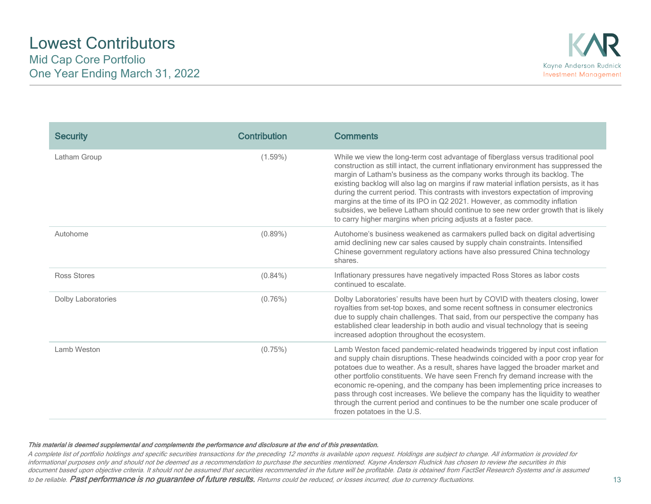| <b>Security</b>    | Contribution | <b>Comments</b>                                                                                                                                                                                                                                                                                                                                                                                                                                                                                                                                                                                                                                                              |
|--------------------|--------------|------------------------------------------------------------------------------------------------------------------------------------------------------------------------------------------------------------------------------------------------------------------------------------------------------------------------------------------------------------------------------------------------------------------------------------------------------------------------------------------------------------------------------------------------------------------------------------------------------------------------------------------------------------------------------|
| Latham Group       | $(1.59\%)$   | While we view the long-term cost advantage of fiberglass versus traditional pool<br>construction as still intact, the current inflationary environment has suppressed the<br>margin of Latham's business as the company works through its backlog. The<br>existing backlog will also lag on margins if raw material inflation persists, as it has<br>during the current period. This contrasts with investors expectation of improving<br>margins at the time of its IPO in Q2 2021. However, as commodity inflation<br>subsides, we believe Latham should continue to see new order growth that is likely<br>to carry higher margins when pricing adjusts at a faster pace. |
| Autohome           | $(0.89\%)$   | Autohome's business weakened as carmakers pulled back on digital advertising<br>amid declining new car sales caused by supply chain constraints. Intensified<br>Chinese government regulatory actions have also pressured China technology<br>shares.                                                                                                                                                                                                                                                                                                                                                                                                                        |
| Ross Stores        | $(0.84\%)$   | Inflationary pressures have negatively impacted Ross Stores as labor costs<br>continued to escalate.                                                                                                                                                                                                                                                                                                                                                                                                                                                                                                                                                                         |
| Dolby Laboratories | $(0.76\%)$   | Dolby Laboratories' results have been hurt by COVID with theaters closing, lower<br>royalties from set-top boxes, and some recent softness in consumer electronics<br>due to supply chain challenges. That said, from our perspective the company has<br>established clear leadership in both audio and visual technology that is seeing<br>increased adoption throughout the ecosystem.                                                                                                                                                                                                                                                                                     |
| Lamb Weston        | (0.75%)      | Lamb Weston faced pandemic-related headwinds triggered by input cost inflation<br>and supply chain disruptions. These headwinds coincided with a poor crop year for<br>potatoes due to weather. As a result, shares have lagged the broader market and<br>other portfolio constituents. We have seen French fry demand increase with the<br>economic re-opening, and the company has been implementing price increases to<br>pass through cost increases. We believe the company has the liquidity to weather<br>through the current period and continues to be the number one scale producer of<br>frozen potatoes in the U.S.                                              |

A complete list of portfolio holdings and specific securities transactions for the preceding 12 months is available upon request. Holdings are subject to change. All information is provided for informational purposes only and should not be deemed as a recommendation to purchase the securities mentioned. Kayne Anderson Rudnick has chosen to review the securities in this document based upon objective criteria. It should not be assumed that securities recommended in the future will be profitable. Data is obtained from FactSet Research Systems and is assumed

to be reliable. Past performance is no guarantee of future results. Returns could be reduced, or losses incurred, due to currency fluctuations.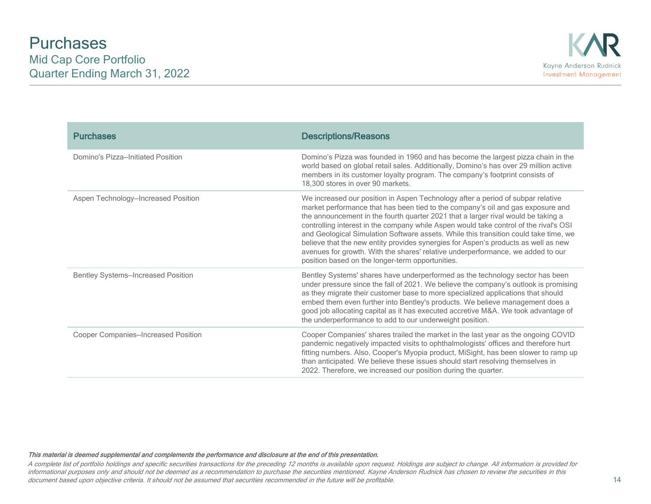| <b>Purchases</b>                          | <b>Descriptions/Reasons</b>                                                                                                                                                                                                                                                                                                                                                                                                                                                                                                                                                                                                                                           |
|-------------------------------------------|-----------------------------------------------------------------------------------------------------------------------------------------------------------------------------------------------------------------------------------------------------------------------------------------------------------------------------------------------------------------------------------------------------------------------------------------------------------------------------------------------------------------------------------------------------------------------------------------------------------------------------------------------------------------------|
| Domino's Pizza-Initiated Position         | Domino's Pizza was founded in 1960 and has become the largest pizza chain in the<br>world based on global retail sales. Additionally, Domino's has over 29 million active<br>members in its customer loyalty program. The company's footprint consists of<br>18,300 stores in over 90 markets.                                                                                                                                                                                                                                                                                                                                                                        |
| Aspen Technology-Increased Position       | We increased our position in Aspen Technology after a period of subpar relative<br>market performance that has been tied to the company's oil and gas exposure and<br>the announcement in the fourth quarter 2021 that a larger rival would be taking a<br>controlling interest in the company while Aspen would take control of the rival's OSI<br>and Geological Simulation Software assets. While this transition could take time, we<br>believe that the new entity provides synergies for Aspen's products as well as new<br>avenues for growth. With the shares' relative underperformance, we added to our<br>position based on the longer-term opportunities. |
| <b>Bentley Systems-Increased Position</b> | Bentley Systems' shares have underperformed as the technology sector has been<br>under pressure since the fall of 2021. We believe the company's outlook is promising<br>as they migrate their customer base to more specialized applications that should<br>embed them even further into Bentley's products. We believe management does a<br>good job allocating capital as it has executed accretive M&A. We took advantage of<br>the underperformance to add to our underweight position.                                                                                                                                                                          |
| Cooper Companies-Increased Position       | Cooper Companies' shares trailed the market in the last year as the ongoing COVID<br>pandemic negatively impacted visits to ophthalmologists' offices and therefore hurt<br>fitting numbers. Also, Cooper's Myopia product, MiSight, has been slower to ramp up<br>than anticipated. We believe these issues should start resolving themselves in<br>2022. Therefore, we increased our position during the quarter.                                                                                                                                                                                                                                                   |

A complete list of portfolio holdings and specific securities transactions for the preceding 12 months is available upon request. Holdings are subject to change. All information is provided for informational purposes only and should not be deemed as a recommendation to purchase the securities mentioned. Kayne Anderson Rudnick has chosen to review the securities in this document based upon objective criteria. It should not be assumed that securities recommended in the future will be profitable.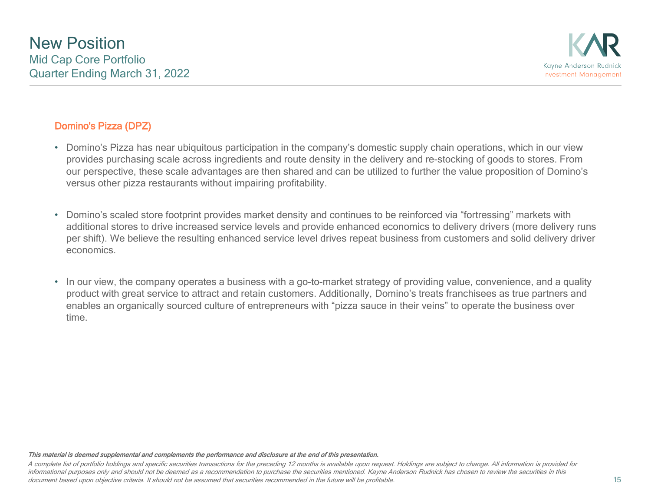### Domino's Pizza (DPZ)

- Domino's Pizza has near ubiquitous participation in the company's domestic supply chain operations, which in our view provides purchasing scale across ingredients and route density in the delivery and re-stocking of goods to stores. From our perspective, these scale advantages are then shared and can be utilized to further the value proposition of Domino's versus other pizza restaurants without impairing profitability.
- Domino's scaled store footprint provides market density and continues to be reinforced via "fortressing" markets with additional stores to drive increased service levels and provide enhanced economics to delivery drivers (more delivery runs per shift). We believe the resulting enhanced service level drives repeat business from customers and solid delivery driver economics.
- In our view, the company operates a business with a go-to-market strategy of providing value, convenience, and a quality product with great service to attract and retain customers. Additionally, Domino's treats franchisees as true partners and enables an organically sourced culture of entrepreneurs with "pizza sauce in their veins" to operate the business over time.

#### This material is deemed supplemental and complements the performance and disclosure at the end of this presentation.

A complete list of portfolio holdings and specific securities transactions for the preceding 12 months is available upon request. Holdings are subject to change. All information is provided for informational purposes only and should not be deemed as a recommendation to purchase the securities mentioned. Kayne Anderson Rudnick has chosen to review the securities in this document based upon objective criteria. It should not be assumed that securities recommended in the future will be profitable.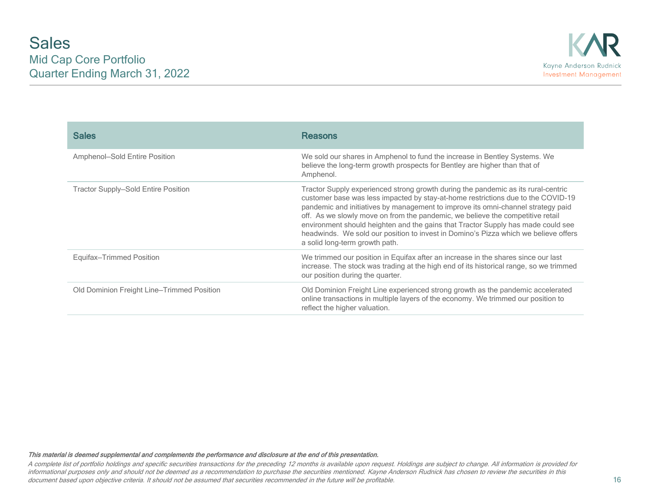| <b>Sales</b>                               | <b>Reasons</b>                                                                                                                                                                                                                                                                                                                                                                                                                                                                                                                                           |
|--------------------------------------------|----------------------------------------------------------------------------------------------------------------------------------------------------------------------------------------------------------------------------------------------------------------------------------------------------------------------------------------------------------------------------------------------------------------------------------------------------------------------------------------------------------------------------------------------------------|
| Amphenol-Sold Entire Position              | We sold our shares in Amphenol to fund the increase in Bentley Systems. We<br>believe the long-term growth prospects for Bentley are higher than that of<br>Amphenol.                                                                                                                                                                                                                                                                                                                                                                                    |
| Tractor Supply-Sold Entire Position        | Tractor Supply experienced strong growth during the pandemic as its rural-centric<br>customer base was less impacted by stay-at-home restrictions due to the COVID-19<br>pandemic and initiatives by management to improve its omni-channel strategy paid<br>off. As we slowly move on from the pandemic, we believe the competitive retail<br>environment should heighten and the gains that Tractor Supply has made could see<br>headwinds. We sold our position to invest in Domino's Pizza which we believe offers<br>a solid long-term growth path. |
| Equifax-Trimmed Position                   | We trimmed our position in Equifax after an increase in the shares since our last<br>increase. The stock was trading at the high end of its historical range, so we trimmed<br>our position during the quarter.                                                                                                                                                                                                                                                                                                                                          |
| Old Dominion Freight Line–Trimmed Position | Old Dominion Freight Line experienced strong growth as the pandemic accelerated<br>online transactions in multiple layers of the economy. We trimmed our position to<br>reflect the higher valuation.                                                                                                                                                                                                                                                                                                                                                    |

A complete list of portfolio holdings and specific securities transactions for the preceding 12 months is available upon request. Holdings are subject to change. All information is provided for informational purposes only and should not be deemed as a recommendation to purchase the securities mentioned. Kayne Anderson Rudnick has chosen to review the securities in this document based upon objective criteria. It should not be assumed that securities recommended in the future will be profitable.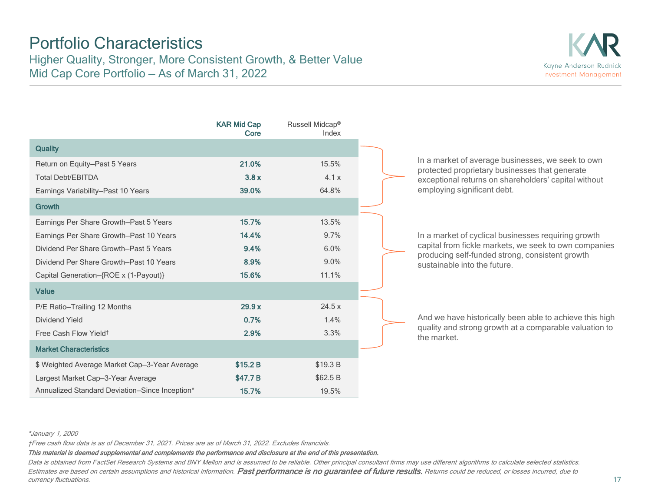## Portfolio Characteristics

Higher Quality, Stronger, More Consistent Growth, & Better Value Mid Cap Core Portfolio — As of March 31, 2022



|                                                | <b>KAR Mid Cap</b><br>Core | Russell Midcap®<br>Index |
|------------------------------------------------|----------------------------|--------------------------|
| <b>Quality</b>                                 |                            |                          |
| Return on Equity-Past 5 Years                  | 21.0%                      | 15.5%                    |
| <b>Total Debt/EBITDA</b>                       | 3.8x                       | 4.1x                     |
| Earnings Variability-Past 10 Years             | 39.0%                      | 64.8%                    |
| Growth                                         |                            |                          |
| Earnings Per Share Growth-Past 5 Years         | 15.7%                      | 13.5%                    |
| Earnings Per Share Growth–Past 10 Years        | 14.4%                      | 9.7%                     |
| Dividend Per Share Growth–Past 5 Years         | 9.4%                       | 6.0%                     |
| Dividend Per Share Growth–Past 10 Years        | 8.9%                       | 9.0%                     |
| Capital Generation-{ROE x (1-Payout)}          | 15.6%                      | 11.1%                    |
| <b>Value</b>                                   |                            |                          |
| P/E Ratio-Trailing 12 Months                   | 29.9x                      | 24.5x                    |
| Dividend Yield                                 | 0.7%                       | 1.4%                     |
| Free Cash Flow Yield <sup>†</sup>              | 2.9%                       | 3.3%                     |
| <b>Market Characteristics</b>                  |                            |                          |
| \$ Weighted Average Market Cap-3-Year Average  | \$15.2 B                   | \$19.3 B                 |
| Largest Market Cap-3-Year Average              | \$47.7 B                   | \$62.5 B                 |
| Annualized Standard Deviation-Since Inception* | 15.7%                      | 19.5%                    |

In a market of average businesses, we seek to own protected proprietary businesses that generate exceptional returns on shareholders' capital without employing significant debt.

In a market of cyclical businesses requiring growth capital from fickle markets, we seek to own companies producing self-funded strong, consistent growth sustainable into the future.

And we have historically been able to achieve this high quality and strong growth at a comparable valuation to the market.

#### \*January 1, 2000

†Free cash flow data is as of December 31, 2021. Prices are as of March 31, 2022. Excludes financials.

This material is deemed supplemental and complements the performance and disclosure at the end of this presentation.

Data is obtained from FactSet Research Systems and BNY Mellon and is assumed to be reliable. Other principal consultant firms may use different algorithms to calculate selected statistics. Estimates are based on certain assumptions and historical information. Past performance is no guarantee of future results. Returns could be reduced, or losses incurred, due to currency fluctuations.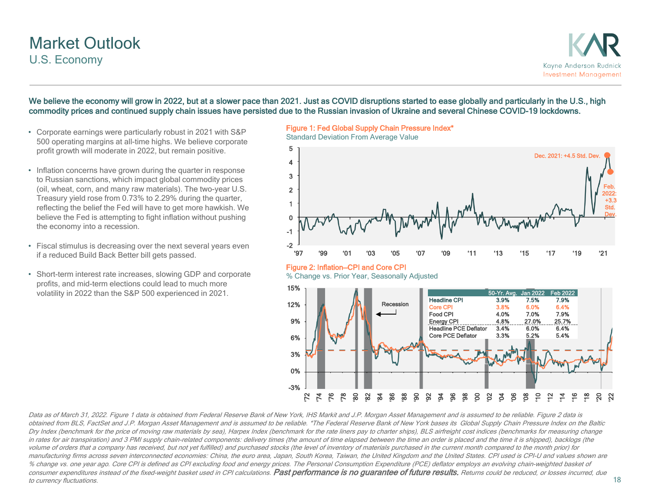## Market Outlook U.S. Economy

### We believe the economy will grow in 2022, but at a slower pace than 2021. Just as COVID disruptions started to ease globally and particularly in the U.S., high commodity prices and continued supply chain issues have persisted due to the Russian invasion of Ukraine and several Chinese COVID-19 lockdowns.

- Corporate earnings were particularly robust in 2021 with S&P 500 operating margins at all-time highs. We believe corporate profit growth will moderate in 2022, but remain positive.
- Inflation concerns have grown during the quarter in response to Russian sanctions, which impact global commodity prices (oil, wheat, corn, and many raw materials). The two-year U.S. Treasury yield rose from 0.73% to 2.29% during the quarter, reflecting the belief the Fed will have to get more hawkish. We believe the Fed is attempting to fight inflation without pushing the economy into a recession.
- Fiscal stimulus is decreasing over the next several years even if a reduced Build Back Better bill gets passed.
- Short-term interest rate increases, slowing GDP and corporate profits, and mid-term elections could lead to much more volatility in 2022 than the S&P 500 experienced in 2021.

Figure 1: Fed Global Supply Chain Pressure Index\*



Data as of March 31, 2022. Figure 1 data is obtained from Federal Reserve Bank of New York, IHS Markit and J.P. Morgan Asset Management and is assumed to be reliable. Figure 2 data is obtained from BLS, FactSet and J.P. Morgan Asset Management and is assumed to be reliable. \*The Federal Reserve Bank of New York bases its Global Supply Chain Pressure Index on the Baltic Dry Index (benchmark for the price of moving raw materials by sea), Harpex Index (benchmark for the rate liners pay to charter ships), BLS airfreight cost indices (benchmarks for measuring change in rates for air transpiration) and 3 PMI supply chain-related components: delivery times (the amount of time elapsed between the time an order is placed and the time it is shipped), backlogs (the volume of orders that a company has received, but not yet fulfilled) and purchased stocks (the level of inventory of materials purchased in the current month compared to the month prior) for manufacturing firms across seven interconnected economies: China, the euro area, Japan, South Korea, Taiwan, the United Kingdom and the United States. CPI used is CPI-U and values shown are % change vs. one year ago. Core CPI is defined as CPI excluding food and energy prices. The Personal Consumption Expenditure (PCE) deflator employs an evolving chain-weighted basket of consumer expenditures instead of the fixed-weight basket used in CPI calculations. Past performance is no guarantee of future results. Returns could be reduced, or losses incurred, due to currency fluctuations.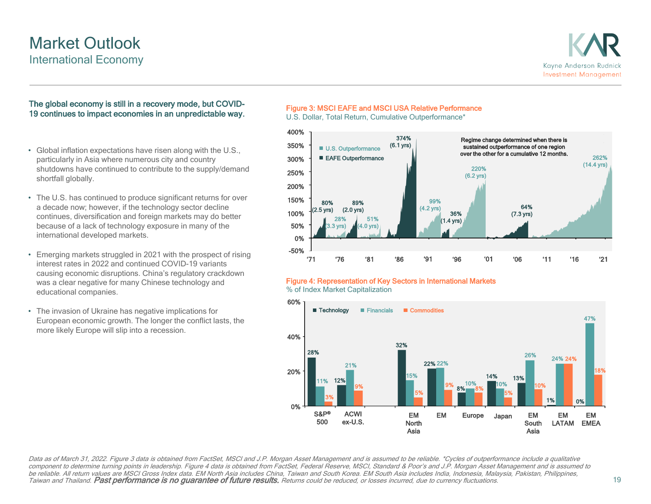## Market Outlook International Economy



### The global economy is still in a recovery mode, but COVID-19 continues to impact economies in an unpredictable way.

- Global inflation expectations have risen along with the U.S., particularly in Asia where numerous city and country shutdowns have continued to contribute to the supply/demand shortfall globally.
- The U.S. has continued to produce significant returns for over a decade now; however, if the technology sector decline continues, diversification and foreign markets may do better because of a lack of technology exposure in many of the international developed markets.
- Emerging markets struggled in 2021 with the prospect of rising interest rates in 2022 and continued COVID-19 variants causing economic disruptions. China's regulatory crackdown was a clear negative for many Chinese technology and educational companies.
- The invasion of Ukraine has negative implications for European economic growth. The longer the conflict lasts, the more likely Europe will slip into a recession.

### Figure 3: MSCI EAFE and MSCI USA Relative Performance

U.S. Dollar, Total Return, Cumulative Outperformance\*



### Figure 4: Representation of Key Sectors in International Markets

% of Index Market Capitalization



Data as of March 31, 2022. Figure 3 data is obtained from FactSet, MSCI and J.P. Morgan Asset Management and is assumed to be reliable. \*Cycles of outperformance include a qualitative component to determine turning points in leadership. Figure 4 data is obtained from FactSet, Federal Reserve, MSCI, Standard & Poor's and J.P. Morgan Asset Management and is assumed to be reliable. All return values are MSCI Gross Index data. EM North Asia includes China, Taiwan and South Korea. EM South Asia includes India, Indonesia, Malaysia, Pakistan, Philippines,<br>Taiwan and Thailand. **Past performan**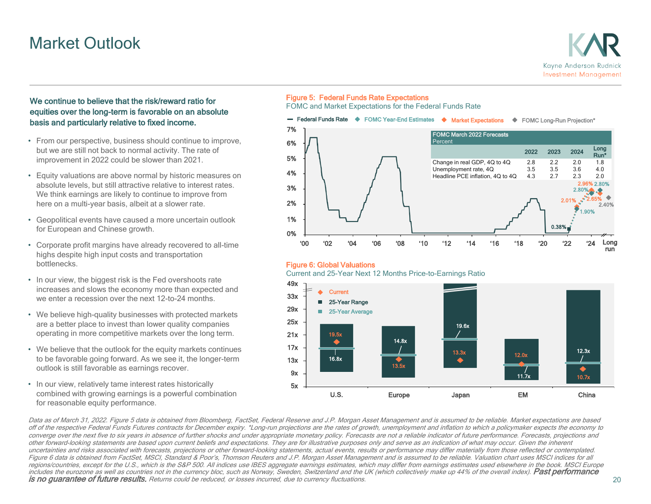## Market Outlook



### We continue to believe that the risk/reward ratio for equities over the long-term is favorable on an absolute basis and particularly relative to fixed income.

- From our perspective, business should continue to improve, but we are still not back to normal activity. The rate of improvement in 2022 could be slower than 2021.
- Equity valuations are above normal by historic measures on absolute levels, but still attractive relative to interest rates. We think earnings are likely to continue to improve from here on a multi-year basis, albeit at a slower rate.
- Geopolitical events have caused a more uncertain outlook for European and Chinese growth.
- Corporate profit margins have already recovered to all-time highs despite high input costs and transportation bottlenecks.
- In our view, the biggest risk is the Fed overshoots rate increases and slows the economy more than expected and we enter a recession over the next 12-to-24 months.
- We believe high-quality businesses with protected markets are a better place to invest than lower quality companies operating in more competitive markets over the long term.
- We believe that the outlook for the equity markets continues to be favorable going forward. As we see it, the longer-term outlook is still favorable as earnings recover.
- In our view, relatively tame interest rates historically combined with growing earnings is a powerful combination for reasonable equity performance.

### Figure 5: Federal Funds Rate Expectations

FOMC and Market Expectations for the Federal Funds Rate



#### Figure 6: Global Valuations

Current and 25-Year Next 12 Months Price-to-Earnings Ratio



Data as of March 31, 2022. Figure 5 data is obtained from Bloomberg, FactSet, Federal Reserve and J.P. Morgan Asset Management and is assumed to be reliable. Market expectations are based off of the respective Federal Funds Futures contracts for December expiry. \*Long-run projections are the rates of growth, unemployment and inflation to which a policymaker expects the economy to converge over the next five to six years in absence of further shocks and under appropriate monetary policy. Forecasts are not a reliable indicator of future performance. Forecasts, projections and other forward-looking statements are based upon current beliefs and expectations. They are for illustrative purposes only and serve as an indication of what may occur. Given the inherent uncertainties and risks associated with forecasts, projections or other forward-looking statements, actual events, results or performance may differ materially from those reflected or contemplated. Figure 6 data is obtained from FactSet, MSCI, Standard & Poor's, Thomson Reuters and J.P. Morgan Asset Management and is assumed to be reliable. Valuation chart uses MSCI indices for all regions/countries, except for the U.S., which is the S&P 500. All indices use IBES aggregate earnings estimates, which may differ from earnings estimates used elsewhere in the book. MSCI Europe includes the eurozone as well as countries not in the currency bloc, such as Norway, Sweden, Switzerland and the UK (which collectively make up 44% of the overall index). **Past performance**<br>**is no guarantee of future resul**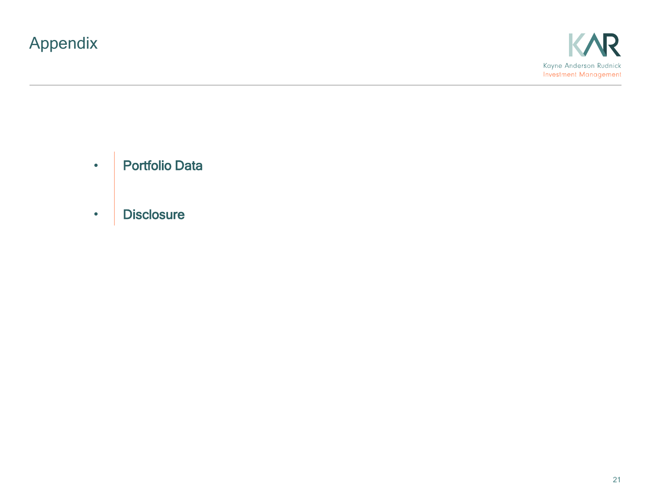# Appendix





• **Disclosure**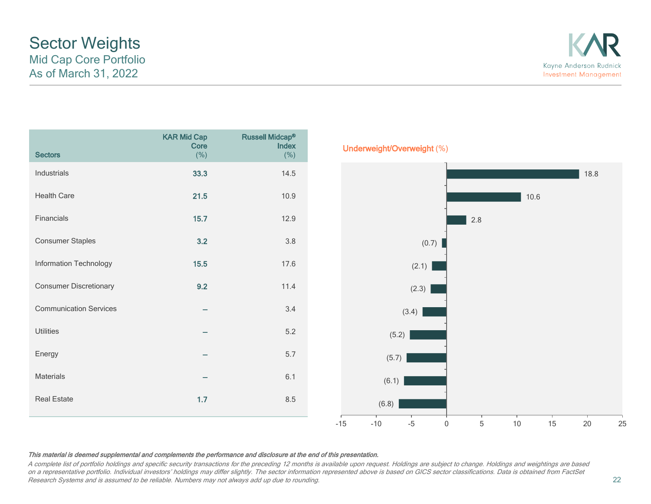A complete list of portfolio holdings and specific security transactions for the preceding 12 months is available upon request. Holdings are subject to change. Holdings and weightings are based on a representative portfolio. Individual investors' holdings may differ slightly. The sector information represented above is based on GICS sector classifications. Data is obtained from FactSet Research Systems and is assumed to be reliable. Numbers may not always add up due to rounding.

## Sector Weights Mid Cap Core Portfolio As of March 31, 2022

| <b>Sectors</b>                | <b>KAR Mid Cap</b><br>Core<br>(% ) | <b>Russell Midcap®</b><br>Index<br>(% ) | Underweight/Overweight (%)                                               |
|-------------------------------|------------------------------------|-----------------------------------------|--------------------------------------------------------------------------|
| Industrials                   | 33.3                               | 14.5                                    | 18.8                                                                     |
| <b>Health Care</b>            | 21.5                               | 10.9                                    | $10.6$                                                                   |
| Financials                    | $15.7$                             | 12.9                                    | $2.8\,$                                                                  |
| Consumer Staples              | 3.2                                | $3.8$                                   | (0.7)                                                                    |
| Information Technology        | $15.5$                             | 17.6                                    | (2.1)                                                                    |
| <b>Consumer Discretionary</b> | 9.2                                | 11.4                                    | (2.3)                                                                    |
| <b>Communication Services</b> | $\overline{\phantom{0}}$           | $3.4$                                   | (3.4)                                                                    |
| Utilities                     |                                    | $5.2\,$                                 | (5.2)                                                                    |
| Energy                        | $\overline{\phantom{a}}$           | 5.7                                     | (5.7)                                                                    |
| Materials                     | $\overline{\phantom{a}}$           | 6.1                                     | (6.1)                                                                    |
| <b>Real Estate</b>            | $1.7$                              | $8.5\,$                                 | (6.8)                                                                    |
|                               |                                    |                                         | $\mathbf 5$<br>$-15$<br>$-10$<br>$-5$<br>15<br>25<br>$10$<br>$20\,$<br>0 |

# Kayne Anderson Rudnick **Investment Management**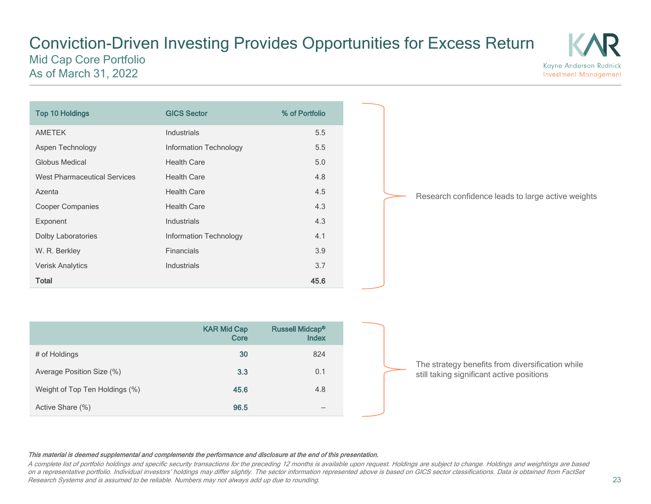### Conviction-Driven Investing Provides Opportunities for Excess Return Mid Cap Core Portfolio As of March 31, 2022 **Investment Management**



Research confidence leads to large active weights

Kayne Anderson Rudnick

|                                | <b>KAR Mid Cap</b><br>Core | <b>Russell Midcap®</b><br><b>Index</b> |
|--------------------------------|----------------------------|----------------------------------------|
| # of Holdings                  | 30                         | 824                                    |
| Average Position Size (%)      | 3.3                        | 0.1                                    |
| Weight of Top Ten Holdings (%) | 45.6                       | 4.8                                    |
| Active Share (%)               | 96.5                       |                                        |

The strategy benefits from diversification while still taking significant active positions

#### This material is deemed supplemental and complements the performance and disclosure at the end of this presentation.

A complete list of portfolio holdings and specific security transactions for the preceding 12 months is available upon request. Holdings are subject to change. Holdings and weightings are based on a representative portfolio. Individual investors' holdings may differ slightly. The sector information represented above is based on GICS sector classifications. Data is obtained from FactSet Research Systems and is assumed to be reliable. Numbers may not always add up due to rounding.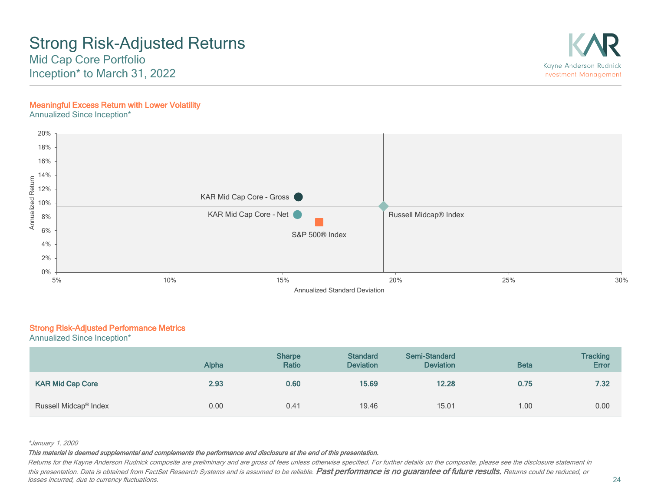## Strong Risk-Adjusted Returns Mid Cap Core Portfolio

Inception\* to March 31, 2022

### Meaningful Excess Return with Lower Volatility

Annualized Since Inception\*



### Strong Risk-Adjusted Performance Metrics

Annualized Since Inception\*

|                                   | <b>Alpha</b> | <b>Sharpe</b><br>Ratio | <b>Standard</b><br><b>Deviation</b> | <b>Semi-Standard</b><br><b>Deviation</b> | <b>Beta</b> | <b>Tracking</b><br><b>Error</b> |
|-----------------------------------|--------------|------------------------|-------------------------------------|------------------------------------------|-------------|---------------------------------|
| <b>KAR Mid Cap Core</b>           | 2.93         | 0.60                   | 15.69                               | 12.28                                    | 0.75        | 7.32                            |
| Russell Midcap <sup>®</sup> Index | 0.00         | 0.41                   | 19.46                               | 15.01                                    | 1.00        | 0.00                            |

#### \*January 1, 2000

This material is deemed supplemental and complements the performance and disclosure at the end of this presentation.

Returns for the Kayne Anderson Rudnick composite are preliminary and are gross of fees unless otherwise specified. For further details on the composite, please see the disclosure statement in this presentation. Data is obtained from FactSet Research Systems and is assumed to be reliable. Past performance is no guarantee of future results. Returns could be reduced, or losses incurred, due to currency fluctuations.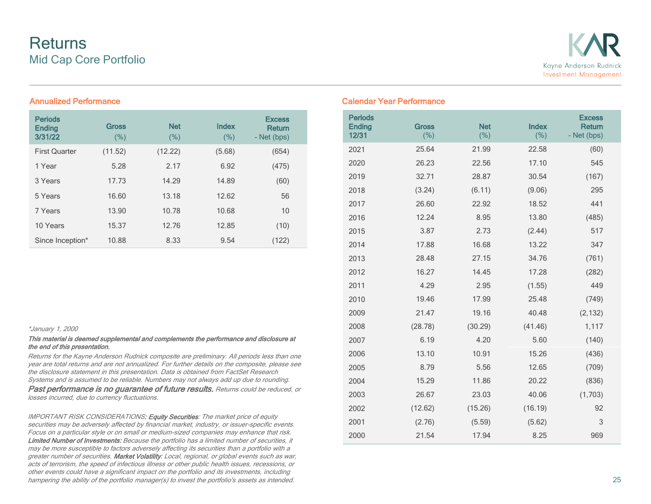

| <b>Periods</b><br><b>Ending</b><br>3/31/22 | <b>Gross</b><br>(% ) | <b>Net</b><br>(%) | Index<br>(% ) | <b>Excess</b><br><b>Return</b><br>- Net (bps) |
|--------------------------------------------|----------------------|-------------------|---------------|-----------------------------------------------|
| <b>First Quarter</b>                       | (11.52)              | (12.22)           | (5.68)        | (654)                                         |
| 1 Year                                     | 5.28                 | 2.17              | 6.92          | (475)                                         |
| 3 Years                                    | 17.73                | 14.29             | 14.89         | (60)                                          |
| 5 Years                                    | 16.60                | 13.18             | 12.62         | 56                                            |
| 7 Years                                    | 13.90                | 10.78             | 10.68         | 10                                            |
| 10 Years                                   | 15.37                | 12.76             | 12.85         | (10)                                          |
| Since Inception*                           | 10.88                | 8.33              | 9.54          | (122)                                         |

#### \*January 1, 2000

#### This material is deemed supplemental and complements the performance and disclosure at the end of this presentation.

Returns for the Kayne Anderson Rudnick composite are preliminary. All periods less than one year are total returns and are not annualized. For further details on the composite, please see the disclosure statement in this presentation. Data is obtained from FactSet Research Systems and is assumed to be reliable. Numbers may not always add up due to rounding. Past performance is no guarantee of future results. Returns could be reduced, or losses incurred, due to currency fluctuations.

IMPORTANT RISK CONSIDERATIONS: Equity Securities: The market price of equity securities may be adversely affected by financial market, industry, or issuer-specific events. Focus on a particular style or on small or medium-sized companies may enhance that risk. Limited Number of Investments: Because the portfolio has a limited number of securities, it may be more susceptible to factors adversely affecting its securities than a portfolio with a greater number of securities. Market Volatility: Local, regional, or global events such as war, acts of terrorism, the speed of infectious illness or other public health issues, recessions, or other events could have a significant impact on the portfolio and its investments, including hampering the ability of the portfolio manager(s) to invest the portfolio's assets as intended.

### Annualized Performance Calendar Year Performance

| <b>Periods</b><br><b>Ending</b><br>12/31 | <b>Gross</b><br>(% ) | <b>Net</b><br>(% ) | Index<br>(% ) | <b>Excess</b><br><b>Return</b><br>- Net (bps) |
|------------------------------------------|----------------------|--------------------|---------------|-----------------------------------------------|
| 2021                                     | 25.64                | 21.99              | 22.58         | (60)                                          |
| 2020                                     | 26.23                | 22.56              | 17.10         | 545                                           |
| 2019                                     | 32.71                | 28.87              | 30.54         | (167)                                         |
| 2018                                     | (3.24)               | (6.11)             | (9.06)        | 295                                           |
| 2017                                     | 26.60                | 22.92              | 18.52         | 441                                           |
| 2016                                     | 12.24                | 8.95               | 13.80         | (485)                                         |
| 2015                                     | 3.87                 | 2.73               | (2.44)        | 517                                           |
| 2014                                     | 17.88                | 16.68              | 13.22         | 347                                           |
| 2013                                     | 28.48                | 27.15              | 34.76         | (761)                                         |
| 2012                                     | 16.27                | 14.45              | 17.28         | (282)                                         |
| 2011                                     | 4.29                 | 2.95               | (1.55)        | 449                                           |
| 2010                                     | 19.46                | 17.99              | 25.48         | (749)                                         |
| 2009                                     | 21.47                | 19.16              | 40.48         | (2, 132)                                      |
| 2008                                     | (28.78)              | (30.29)            | (41.46)       | 1,117                                         |
| 2007                                     | 6.19                 | 4.20               | 5.60          | (140)                                         |
| 2006                                     | 13.10                | 10.91              | 15.26         | (436)                                         |
| 2005                                     | 8.79                 | 5.56               | 12.65         | (709)                                         |
| 2004                                     | 15.29                | 11.86              | 20.22         | (836)                                         |
| 2003                                     | 26.67                | 23.03              | 40.06         | (1,703)                                       |
| 2002                                     | (12.62)              | (15.26)            | (16.19)       | 92                                            |
| 2001                                     | (2.76)               | (5.59)             | (5.62)        | 3                                             |
| 2000                                     | 21.54                | 17.94              | 8.25          | 969                                           |